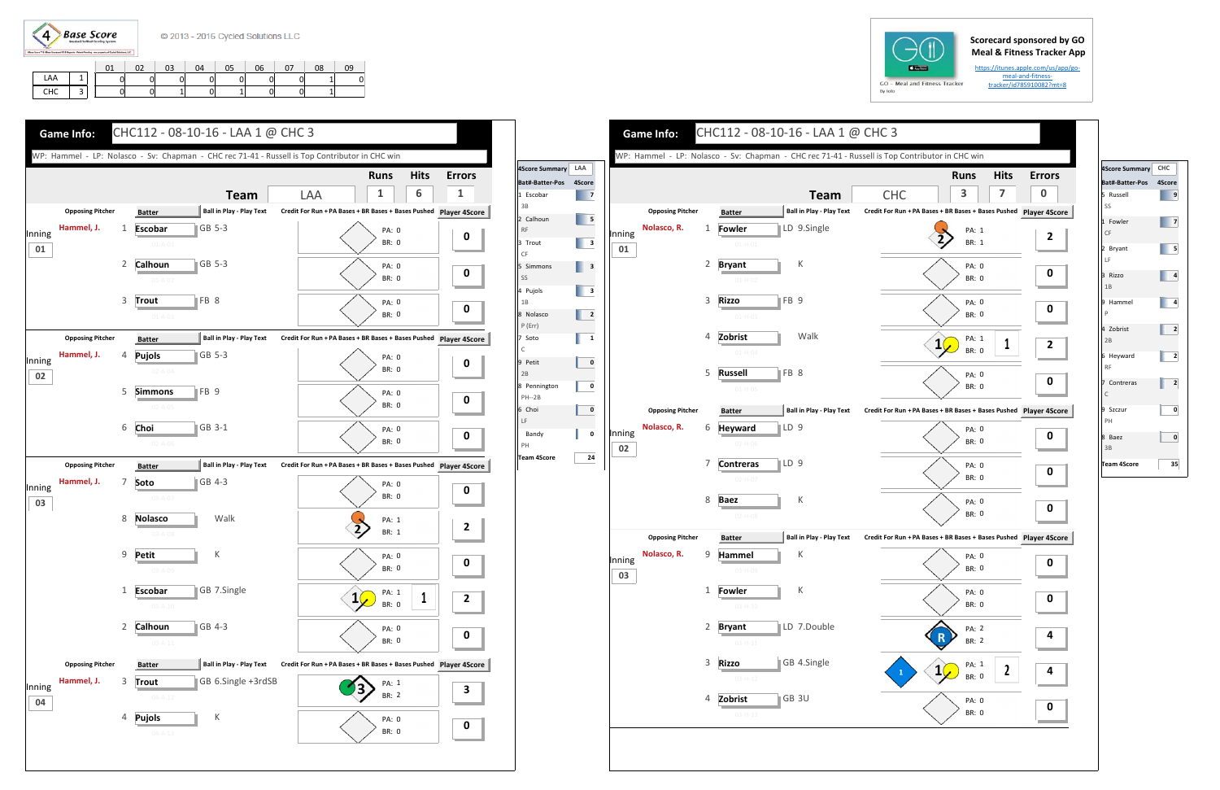

## **Scorecard sponsored by GO Meal & Fitness Tracker App**

https://itunes.apple.com/us/app/go‐ meal-and-fitnesstracker/id785910082?mt=8

|     |                               |  | 02 | 03 | 04 | 05 | 06 | 07 | 08 | 09 |
|-----|-------------------------------|--|----|----|----|----|----|----|----|----|
| LAA |                               |  |    |    |    |    |    |    |    |    |
| CHC | $\overline{\phantom{0}}$<br>J |  |    |    |    |    |    |    |    |    |





|              |                         |                |                               |                  |                                 |                                                               |              | <b>Runs</b>    | <b>Hits</b>  |
|--------------|-------------------------|----------------|-------------------------------|------------------|---------------------------------|---------------------------------------------------------------|--------------|----------------|--------------|
|              |                         |                |                               |                  | <b>Team</b>                     | <b>CHC</b>                                                    |              | 3              | 7            |
|              | <b>Opposing Pitcher</b> |                | <b>Batter</b>                 |                  | <b>Ball in Play - Play Text</b> | Credit For Run + PA Bases + BR Bases + Bases Pushed Player 4S |              |                |              |
|              | Nolasco, R.             | $\mathbf{1}$   | Fowler                        |                  | LD 9.Single                     |                                                               |              | PA: 1          |              |
| Inning<br>01 |                         |                | $01 - H - 01$                 |                  |                                 |                                                               |              | BR: 1          |              |
|              |                         | 2              | <b>Bryant</b>                 |                  | К                               |                                                               |              | PA: 0          |              |
|              |                         |                | $01 - H - 02$                 |                  |                                 |                                                               |              | BR: 0          |              |
|              |                         | 3              | <b>Rizzo</b>                  | FB 9             |                                 |                                                               |              | PA: 0          |              |
|              |                         |                | $01-H-03$                     |                  |                                 |                                                               |              | BR: 0          |              |
|              |                         | 4              | Zobrist                       |                  | Walk                            |                                                               |              | PA: 1          | 1            |
|              |                         |                | $01 - H - 04$                 |                  |                                 |                                                               |              | BR: 0          |              |
|              |                         | 5              | <b>Russell</b>                | FB 8             |                                 |                                                               |              | PA: 0          |              |
|              |                         |                | $01-H-05$                     |                  |                                 |                                                               |              | BR: 0          |              |
|              | <b>Opposing Pitcher</b> |                | <b>Batter</b>                 |                  | <b>Ball in Play - Play Text</b> | Credit For Run + PA Bases + BR Bases + Bases Pushed Player 4S |              |                |              |
| Inning       | Nolasco, R.             | 6              | <b>Heyward</b>                | ∥LD 9            |                                 |                                                               |              | PA: 0<br>BR: 0 |              |
| 02           |                         |                | $02-H-06$                     |                  |                                 |                                                               |              |                |              |
|              |                         | 7              | <b>Contreras</b><br>$02-H-07$ | $\parallel$ LD 9 |                                 |                                                               |              | PA: 0<br>BR: 0 |              |
|              |                         |                |                               |                  |                                 |                                                               |              |                |              |
|              |                         | 8              | <b>Baez</b><br>$02-H-08$      |                  | К                               |                                                               |              | PA: 0<br>BR: 0 |              |
|              | <b>Opposing Pitcher</b> |                |                               |                  | <b>Ball in Play - Play Text</b> | Credit For Run + PA Bases + BR Bases + Bases Pushed Player 4S |              |                |              |
|              | Nolasco, R.             | 9              | <b>Batter</b><br>Hammel       |                  | K                               |                                                               |              | PA: 0          |              |
| Inning<br>03 |                         |                | 03-H-09                       |                  |                                 |                                                               |              | BR: 0          |              |
|              |                         | $\mathbf{1}$   | Fowler                        |                  | $\sf K$                         |                                                               |              | PA: 0          |              |
|              |                         |                | $03 - H - 10$                 |                  |                                 |                                                               |              | BR: 0          |              |
|              |                         | $\overline{2}$ | <b>Bryant</b>                 |                  | LD 7.Double                     |                                                               |              | PA: 2          |              |
|              |                         |                | $03 - H - 11$                 |                  |                                 |                                                               |              | BR: 2          |              |
|              |                         | 3              | <b>Rizzo</b>                  |                  | GB 4.Single                     |                                                               | $\mathbf{1}$ | PA: 1          | $\mathbf{2}$ |
|              |                         |                | $03-H-12$                     |                  |                                 |                                                               |              | BR: 0          |              |
|              |                         | 4              | Zobrist                       |                  | GB 3U                           |                                                               |              | PA: 0          |              |



| 4Score Summary CHC          |    |
|-----------------------------|----|
| Bat#-Batter-Pos 4Score      |    |
| 5 Russell<br>SS             | 9  |
| 1 Fowler<br>CF              | 7  |
| 2 Bryant<br>LF              | 5  |
| 3 Rizzo<br>1B               | 4  |
| 9 Hammel<br>$\mathsf{P}$    | 4  |
| 4 Zobrist<br>2B             | 2  |
| 6 Heyward<br><b>RF</b>      | 2  |
| 7 Contreras<br>$\mathsf{C}$ | 2  |
| 9 Szczur<br>PH              | 0  |
| 8 Baez<br>3B                | 0  |
| <b>Team 4Score</b>          | 35 |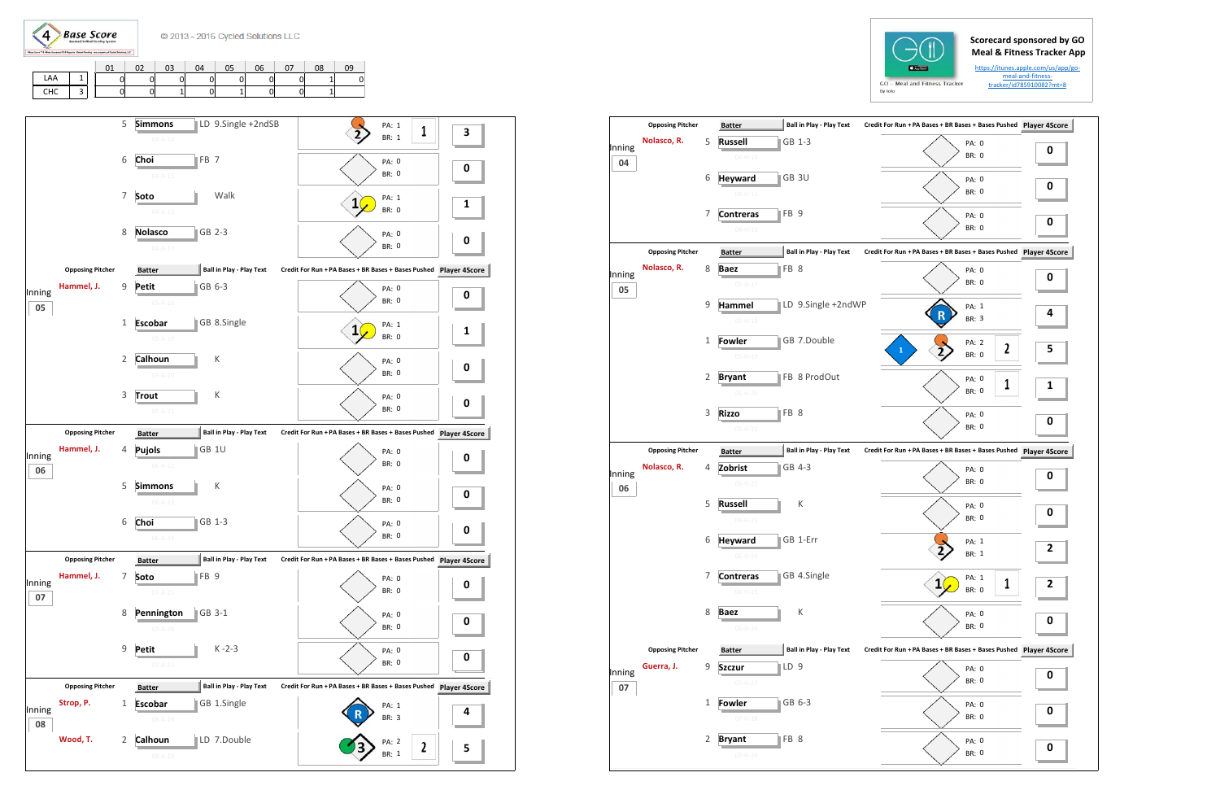**Base Score**  $\left( 4\right)$ 

## **Scorecard sponsored by GO Meal & Fitness Tracker App**

https://itunes.apple.com/us/app/gomeal-and-fitnesstracker/id785910082?mt=8

|            |  |  | 03 | 04 | 05 | 06 | 07 L | 08 | 09 |
|------------|--|--|----|----|----|----|------|----|----|
| LAA        |  |  |    |    |    |    |      |    |    |
| <b>CHC</b> |  |  |    |    |    |    |      |    |    |

|              | <b>Opposing Pitcher</b> |   | <b>Batter</b>                     | Ball in Play - Play Text        | Credit For Run + PA Bases + BR Bases + Bases Pushed Player 4S    |   |
|--------------|-------------------------|---|-----------------------------------|---------------------------------|------------------------------------------------------------------|---|
| Inning<br>04 | Nolasco, R.             | 5 | <b>Russell</b><br>$04 - H - 14$   | GB 1-3                          | PA: 0<br><b>BR: 0</b>                                            | 0 |
|              |                         | 6 | <b>Heyward</b><br>$04 - H - 15$   | GB 3U                           | PA: 0<br><b>BR: 0</b>                                            | 0 |
|              |                         | 7 | <b>Contreras</b><br>$04 - H - 16$ | FB <sub>9</sub>                 | <b>PA: 0</b><br><b>BR: 0</b>                                     | 0 |
|              | <b>Opposing Pitcher</b> |   | <b>Batter</b>                     | <b>Ball in Play - Play Text</b> | Credit For Run + PA Bases + BR Bases + Bases Pushed Player 4S    |   |
| Inning<br>05 | Nolasco, R.             | 8 | <b>Baez</b><br>$05-H-17$          | FB 8                            | PA: 0<br><b>BR: 0</b>                                            | 0 |
|              |                         | 9 | Hammel<br>$05-H-18$               | LD 9.Single +2ndWP              | PA: 1<br>R<br><b>BR: 3</b>                                       | 4 |
|              |                         | 1 | <b>Fowler</b><br>$05-H-19$        | GB 7.Double                     | PA: 2<br>$\overline{\mathbf{c}}$<br>$\mathbf{1}$<br><b>BR: 0</b> | 5 |
|              |                         | 2 | <b>Bryant</b><br>$05-H-20$        | FB 8 ProdOut                    | PA: 0<br>1<br><b>BR: 0</b>                                       | 1 |
|              |                         | 3 | <b>Rizzo</b><br>$05 - H - 21$     | FB <sub>8</sub>                 | PA: 0<br><b>BR: 0</b>                                            | 0 |
|              | <b>Opposing Pitcher</b> |   | <b>Batter</b>                     | <b>Ball in Play - Play Text</b> | Credit For Run + PA Bases + BR Bases + Bases Pushed Player 4S    |   |
| Inning<br>06 | Nolasco, R.             | 4 | Zobrist<br>$06-H-22$              | GB 4-3                          | PA: 0<br><b>BR: 0</b>                                            | 0 |
|              |                         | 5 | <b>Russell</b><br>$06-H-23$       | К                               | PA: 0<br><b>BR: 0</b>                                            | 0 |
|              |                         | 6 | <b>Heyward</b><br>$06 - H - 24$   | GB 1-Err                        | PA: 1<br><b>BR: 1</b>                                            | 2 |
|              |                         | 7 | <b>Contreras</b><br>$06 - H - 25$ | GB 4.Single                     | PA: 1<br>1<br>BR: 0                                              | 2 |
|              |                         | 8 | <b>Baez</b><br>$06-H-26$          | К                               | PA: 0<br>BR: 0                                                   | 0 |
|              | <b>Opposing Pitcher</b> |   | <b>Batter</b>                     | <b>Ball in Play - Play Text</b> | Credit For Run + PA Bases + BR Bases + Bases Pushed Player 4S    |   |
| Inning<br>07 | Guerra, J.              | 9 | <b>Szczur</b><br>$07 - H - 27$    | LD <sub>9</sub>                 | PA: 0<br>BR: 0                                                   | 0 |
|              |                         | 1 | <b>Fowler</b>                     | GB 6-3                          | PA: 0                                                            | 0 |
|              |                         |   | $07-H-28$                         |                                 | BR: 0                                                            |   |



## **GO** - Meal and Fitness Tracker